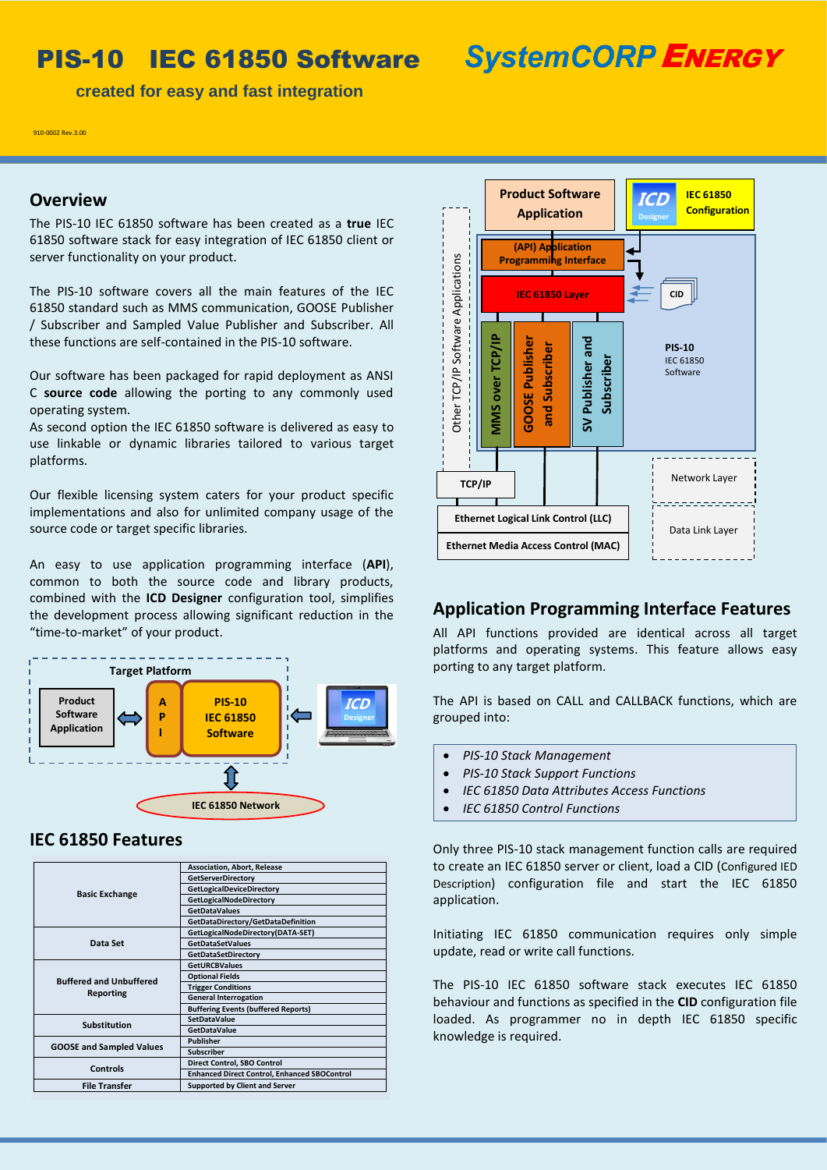# PIS-10 IEC 61850 Software

**SystemCORP ENERGY** 

 **created for easy and fast integration**

910-0002 Rev.3.00

#### **Overview**

The PIS-10 IEC 61850 software has been created as a **true** IEC 61850 software stack for easy integration of IEC 61850 client or server functionality on your product.

The PIS-10 software covers all the main features of the IEC 61850 standard such as MMS communication, GOOSE Publisher / Subscriber and Sampled Value Publisher and Subscriber. All these functions are self-contained in the PIS-10 software.

Our software has been packaged for rapid deployment as ANSI C **source code** allowing the porting to any commonly used operating system.

As second option the IEC 61850 software is delivered as easy to use linkable or dynamic libraries tailored to various target platforms.

Our flexible licensing system caters for your product specific implementations and also for unlimited company usage of the source code or target specific libraries.

An easy to use application programming interface (**API**), common to both the source code and library products, combined with the **ICD Designer** configuration tool, simplifies the development process allowing significant reduction in the "time-to-market" of your product.



## **IEC 61850 Features**

| <b>Basic Exchange</b>                       | <b>Association, Abort, Release</b>                  |
|---------------------------------------------|-----------------------------------------------------|
|                                             | <b>GetServerDirectory</b>                           |
|                                             | <b>GetLogicalDeviceDirectory</b>                    |
|                                             | GetLogicalNodeDirectory                             |
|                                             | <b>GetDataValues</b>                                |
|                                             | GetDataDirectory/GetDataDefinition                  |
| Data Set                                    | GetLogicalNodeDirectory(DATA-SET)                   |
|                                             | <b>GetDataSetValues</b>                             |
|                                             | GetDataSetDirectory                                 |
| <b>Buffered and Unbuffered</b><br>Reporting | <b>GetURCBValues</b>                                |
|                                             | <b>Optional Fields</b>                              |
|                                             | <b>Trigger Conditions</b>                           |
|                                             | <b>General Interrogation</b>                        |
|                                             | <b>Buffering Events (buffered Reports)</b>          |
| <b>Substitution</b>                         | <b>SetDataValue</b>                                 |
|                                             | <b>GetDataValue</b>                                 |
| <b>GOOSE and Sampled Values</b>             | <b>Publisher</b>                                    |
|                                             | <b>Subscriber</b>                                   |
| Controls                                    | Direct Control, SBO Control                         |
|                                             | <b>Enhanced Direct Control, Enhanced SBOControl</b> |
| <b>File Transfer</b>                        | <b>Supported by Client and Server</b>               |



#### **Application Programming Interface Features**

All API functions provided are identical across all target platforms and operating systems. This feature allows easy porting to any target platform.

The API is based on CALL and CALLBACK functions, which are grouped into:

- *PIS-10 Stack Management*
- *PIS-10 Stack Support Functions*
- *IEC 61850 Data Attributes Access Functions*
- *IEC 61850 Control Functions*

Only three PIS-10 stack management function calls are required to create an IEC 61850 server or client, load a CID (Configured IED Description) configuration file and start the IEC 61850 application.

Initiating IEC 61850 communication requires only simple update, read or write call functions.

The PIS-10 IEC 61850 software stack executes IEC 61850 behaviour and functions as specified in the **CID** configuration file loaded. As programmer no in depth IEC 61850 specific knowledge is required.